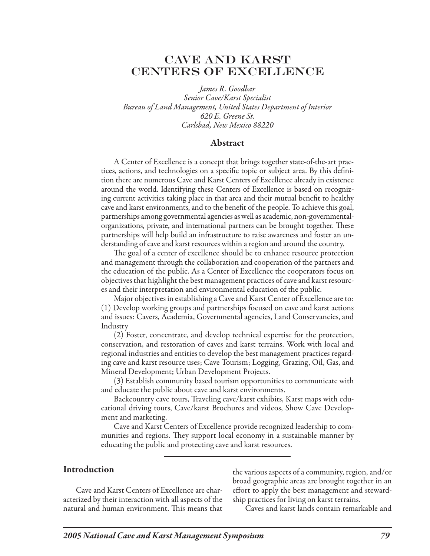# Cave and Karst Centers of Excellence

*James R. Goodbar Senior Cave/Karst Specialist Bureau of Land Management, United States Department of Interior 620 E. Greene St. Carlsbad, New Mexico 88220*

### Abstract

A Center of Excellence is a concept that brings together state-of-the-art practices, actions, and technologies on a specific topic or subject area. By this definition there are numerous Cave and Karst Centers of Excellence already in existence around the world. Identifying these Centers of Excellence is based on recognizing current activities taking place in that area and their mutual benefit to healthy cave and karst environments, and to the benefit of the people. To achieve this goal, partnerships among governmental agencies as well as academic, non-governmentalorganizations, private, and international partners can be brought together. These partnerships will help build an infrastructure to raise awareness and foster an understanding of cave and karst resources within a region and around the country.

The goal of a center of excellence should be to enhance resource protection and management through the collaboration and cooperation of the partners and the education of the public. As a Center of Excellence the cooperators focus on objectives that highlight the best management practices of cave and karst resources and their interpretation and environmental education of the public.

Major objectives in establishing a Cave and Karst Center of Excellence are to: (1) Develop working groups and partnerships focused on cave and karst actions and issues: Cavers, Academia, Governmental agencies, Land Conservancies, and Industry

(2) Foster, concentrate, and develop technical expertise for the protection, conservation, and restoration of caves and karst terrains. Work with local and regional industries and entities to develop the best management practices regarding cave and karst resource uses; Cave Tourism; Logging, Grazing, Oil, Gas, and Mineral Development; Urban Development Projects.

(3) Establish community based tourism opportunities to communicate with and educate the public about cave and karst environments.

Backcountry cave tours, Traveling cave/karst exhibits, Karst maps with educational driving tours, Cave/karst Brochures and videos, Show Cave Development and marketing.

Cave and Karst Centers of Excellence provide recognized leadership to communities and regions. They support local economy in a sustainable manner by educating the public and protecting cave and karst resources.

### **Introduction**

Cave and Karst Centers of Excellence are characterized by their interaction with all aspects of the natural and human environment. This means that

the various aspects of a community, region, and/or broad geographic areas are brought together in an effort to apply the best management and stewardship practices for living on karst terrains.

Caves and karst lands contain remarkable and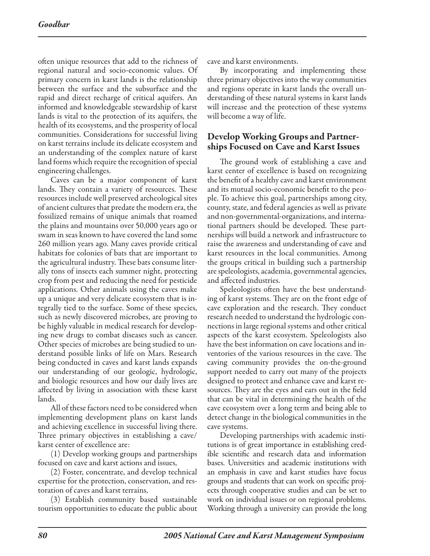often unique resources that add to the richness of regional natural and socio-economic values. Of primary concern in karst lands is the relationship between the surface and the subsurface and the rapid and direct recharge of critical aquifers. An informed and knowledgeable stewardship of karst lands is vital to the protection of its aquifers, the health of its ecosystems, and the prosperity of local communities. Considerations for successful living on karst terrains include its delicate ecosystem and an understanding of the complex nature of karst land forms which require the recognition of special engineering challenges.

Caves can be a major component of karst lands. They contain a variety of resources. These resources include well preserved archeological sites of ancient cultures that predate the modern era, the fossilized remains of unique animals that roamed the plains and mountains over 50,000 years ago or swam in seas known to have covered the land some 260 million years ago. Many caves provide critical habitats for colonies of bats that are important to the agricultural industry. These bats consume literally tons of insects each summer night, protecting crop from pest and reducing the need for pesticide applications. Other animals using the caves make up a unique and very delicate ecosystem that is integrally tied to the surface. Some of these species, such as newly discovered microbes, are proving to be highly valuable in medical research for developing new drugs to combat diseases such as cancer. Other species of microbes are being studied to understand possible links of life on Mars. Research being conducted in caves and karst lands expands our understanding of our geologic, hydrologic, and biologic resources and how our daily lives are affected by living in association with these karst lands.

All of these factors need to be considered when implementing development plans on karst lands and achieving excellence in successful living there. Three primary objectives in establishing a cave/ karst center of excellence are:

(1) Develop working groups and partnerships focused on cave and karst actions and issues,

(2) Foster, concentrate, and develop technical expertise for the protection, conservation, and restoration of caves and karst terrains,

(3) Establish community based sustainable tourism opportunities to educate the public about

cave and karst environments.

By incorporating and implementing these three primary objectives into the way communities and regions operate in karst lands the overall understanding of these natural systems in karst lands will increase and the protection of these systems will become a way of life.

### Develop Working Groups and Partnerships Focused on Cave and Karst Issues

The ground work of establishing a cave and karst center of excellence is based on recognizing the benefit of a healthy cave and karst environment and its mutual socio-economic benefit to the people. To achieve this goal, partnerships among city, county, state, and federal agencies as well as private and non-governmental-organizations, and international partners should be developed. These partnerships will build a network and infrastructure to raise the awareness and understanding of cave and karst resources in the local communities. Among the groups critical in building such a partnership are speleologists, academia, governmental agencies, and affected industries.

Speleologists often have the best understanding of karst systems. They are on the front edge of cave exploration and the research. They conduct research needed to understand the hydrologic connections in large regional systems and other critical aspects of the karst ecosystem. Speleologists also have the best information on cave locations and inventories of the various resources in the cave. The caving community provides the on-the-ground support needed to carry out many of the projects designed to protect and enhance cave and karst resources. They are the eyes and ears out in the field that can be vital in determining the health of the cave ecosystem over a long term and being able to detect change in the biological communities in the cave systems.

Developing partnerships with academic institutions is of great importance in establishing credible scientific and research data and information bases. Universities and academic institutions with an emphasis in cave and karst studies have focus groups and students that can work on specific projects through cooperative studies and can be set to work on individual issues or on regional problems. Working through a university can provide the long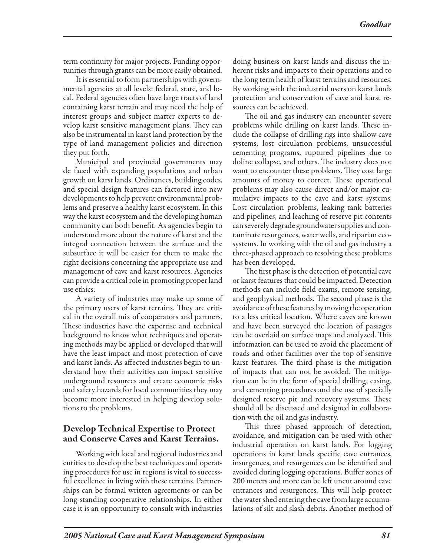term continuity for major projects. Funding opportunities through grants can be more easily obtained.

It is essential to form partnerships with governmental agencies at all levels: federal, state, and local. Federal agencies often have large tracts of land containing karst terrain and may need the help of interest groups and subject matter experts to develop karst sensitive management plans. They can also be instrumental in karst land protection by the type of land management policies and direction they put forth.

Municipal and provincial governments may de faced with expanding populations and urban growth on karst lands. Ordinances, building codes, and special design features can factored into new developments to help prevent environmental problems and preserve a healthy karst ecosystem. In this way the karst ecosystem and the developing human community can both benefit. As agencies begin to understand more about the nature of karst and the integral connection between the surface and the subsurface it will be easier for them to make the right decisions concerning the appropriate use and management of cave and karst resources. Agencies can provide a critical role in promoting proper land use ethics.

A variety of industries may make up some of the primary users of karst terrains. They are critical in the overall mix of cooperators and partners. These industries have the expertise and technical background to know what techniques and operating methods may be applied or developed that will have the least impact and most protection of cave and karst lands. As affected industries begin to understand how their activities can impact sensitive underground resources and create economic risks and safety hazards for local communities they may become more interested in helping develop solutions to the problems.

# Develop Technical Expertise to Protect and Conserve Caves and Karst Terrains.

Working with local and regional industries and entities to develop the best techniques and operating procedures for use in regions is vital to successful excellence in living with these terrains. Partnerships can be formal written agreements or can be long-standing cooperative relationships. In either case it is an opportunity to consult with industries

doing business on karst lands and discuss the inherent risks and impacts to their operations and to the long term health of karst terrains and resources. By working with the industrial users on karst lands protection and conservation of cave and karst resources can be achieved.

The oil and gas industry can encounter severe problems while drilling on karst lands. These include the collapse of drilling rigs into shallow cave systems, lost circulation problems, unsuccessful cementing programs, ruptured pipelines due to doline collapse, and others. The industry does not want to encounter these problems. They cost large amounts of money to correct. These operational problems may also cause direct and/or major cumulative impacts to the cave and karst systems. Lost circulation problems, leaking tank batteries and pipelines, and leaching of reserve pit contents can severely degrade groundwater supplies and contaminate resurgences, water wells, and riparian ecosystems. In working with the oil and gas industry a three-phased approach to resolving these problems has been developed.

The first phase is the detection of potential cave or karst features that could be impacted. Detection methods can include field exams, remote sensing, and geophysical methods. The second phase is the avoidance of these features by moving the operation to a less critical location. Where caves are known and have been surveyed the location of passages can be overlaid on surface maps and analyzed. This information can be used to avoid the placement of roads and other facilities over the top of sensitive karst features. The third phase is the mitigation of impacts that can not be avoided. The mitigation can be in the form of special drilling, casing, and cementing procedures and the use of specially designed reserve pit and recovery systems. These should all be discussed and designed in collaboration with the oil and gas industry.

This three phased approach of detection, avoidance, and mitigation can be used with other industrial operation on karst lands. For logging operations in karst lands specific cave entrances, insurgences, and resurgences can be identified and avoided during logging operations. Buffer zones of 200 meters and more can be left uncut around cave entrances and resurgences. This will help protect the water shed entering the cave from large accumulations of silt and slash debris. Another method of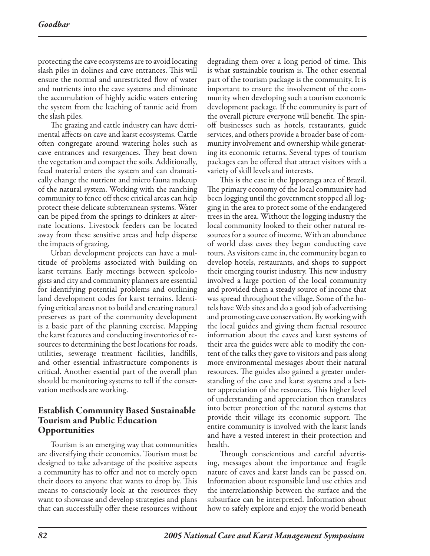protecting the cave ecosystems are to avoid locating slash piles in dolines and cave entrances. This will ensure the normal and unrestricted flow of water and nutrients into the cave systems and eliminate the accumulation of highly acidic waters entering the system from the leaching of tannic acid from the slash piles.

The grazing and cattle industry can have detrimental affects on cave and karst ecosystems. Cattle often congregate around watering holes such as cave entrances and resurgences. They beat down the vegetation and compact the soils. Additionally, fecal material enters the system and can dramatically change the nutrient and micro fauna makeup of the natural system. Working with the ranching community to fence off these critical areas can help protect these delicate subterranean systems. Water can be piped from the springs to drinkers at alternate locations. Livestock feeders can be located away from these sensitive areas and help disperse the impacts of grazing.

Urban development projects can have a multitude of problems associated with building on karst terrains. Early meetings between speleologists and city and community planners are essential for identifying potential problems and outlining land development codes for karst terrains. Identifying critical areas not to build and creating natural preserves as part of the community development is a basic part of the planning exercise. Mapping the karst features and conducting inventories of resources to determining the best locations for roads, utilities, sewerage treatment facilities, landfills, and other essential infrastructure components is critical. Another essential part of the overall plan should be monitoring systems to tell if the conservation methods are working.

# Establish Community Based Sustainable Tourism and Public Education Opportunities

Tourism is an emerging way that communities are diversifying their economies. Tourism must be designed to take advantage of the positive aspects a community has to offer and not to merely open their doors to anyone that wants to drop by. This means to consciously look at the resources they want to showcase and develop strategies and plans that can successfully offer these resources without

degrading them over a long period of time. This is what sustainable tourism is. The other essential part of the tourism package is the community. It is important to ensure the involvement of the community when developing such a tourism economic development package. If the community is part of the overall picture everyone will benefit. The spinoff businesses such as hotels, restaurants, guide services, and others provide a broader base of community involvement and ownership while generating its economic returns. Several types of tourism packages can be offered that attract visitors with a variety of skill levels and interests.

This is the case in the Ipporanga area of Brazil. The primary economy of the local community had been logging until the government stopped all logging in the area to protect some of the endangered trees in the area. Without the logging industry the local community looked to their other natural resources for a source of income. With an abundance of world class caves they began conducting cave tours. As visitors came in, the community began to develop hotels, restaurants, and shops to support their emerging tourist industry. This new industry involved a large portion of the local community and provided them a steady source of income that was spread throughout the village. Some of the hotels have Web sites and do a good job of advertising and promoting cave conservation. By working with the local guides and giving them factual resource information about the caves and karst systems of their area the guides were able to modify the content of the talks they gave to visitors and pass along more environmental messages about their natural resources. The guides also gained a greater understanding of the cave and karst systems and a better appreciation of the resources. This higher level of understanding and appreciation then translates into better protection of the natural systems that provide their village its economic support. The entire community is involved with the karst lands and have a vested interest in their protection and health.

Through conscientious and careful advertising, messages about the importance and fragile nature of caves and karst lands can be passed on. Information about responsible land use ethics and the interrelationship between the surface and the subsurface can be interpreted. Information about how to safely explore and enjoy the world beneath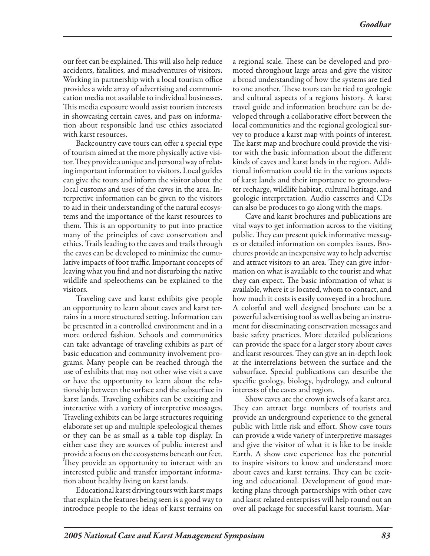our feet can be explained. This will also help reduce accidents, fatalities, and misadventures of visitors. Working in partnership with a local tourism office provides a wide array of advertising and communication media not available to individual businesses. This media exposure would assist tourism interests in showcasing certain caves, and pass on information about responsible land use ethics associated with karst resources.

Backcountry cave tours can offer a special type of tourism aimed at the more physically active visitor. They provide a unique and personal way of relating important information to visitors. Local guides can give the tours and inform the visitor about the local customs and uses of the caves in the area. Interpretive information can be given to the visitors to aid in their understanding of the natural ecosystems and the importance of the karst resources to them. This is an opportunity to put into practice many of the principles of cave conservation and ethics. Trails leading to the caves and trails through the caves can be developed to minimize the cumulative impacts of foot traffic. Important concepts of leaving what you find and not disturbing the native wildlife and speleothems can be explained to the visitors.

Traveling cave and karst exhibits give people an opportunity to learn about caves and karst terrains in a more structured setting. Information can be presented in a controlled environment and in a more ordered fashion. Schools and communities can take advantage of traveling exhibits as part of basic education and community involvement programs. Many people can be reached through the use of exhibits that may not other wise visit a cave or have the opportunity to learn about the relationship between the surface and the subsurface in karst lands. Traveling exhibits can be exciting and interactive with a variety of interpretive messages. Traveling exhibits can be large structures requiring elaborate set up and multiple speleological themes or they can be as small as a table top display. In either case they are sources of public interest and provide a focus on the ecosystems beneath our feet. They provide an opportunity to interact with an interested public and transfer important information about healthy living on karst lands.

Educational karst driving tours with karst maps that explain the features being seen is a good way to introduce people to the ideas of karst terrains on a regional scale. These can be developed and promoted throughout large areas and give the visitor a broad understanding of how the systems are tied to one another. These tours can be tied to geologic and cultural aspects of a regions history. A karst travel guide and information brochure can be developed through a collaborative effort between the local communities and the regional geological survey to produce a karst map with points of interest. The karst map and brochure could provide the visitor with the basic information about the different kinds of caves and karst lands in the region. Additional information could tie in the various aspects of karst lands and their importance to groundwater recharge, wildlife habitat, cultural heritage, and geologic interpretation. Audio cassettes and CDs can also be produces to go along with the maps.

Cave and karst brochures and publications are vital ways to get information across to the visiting public. They can present quick informative messages or detailed information on complex issues. Brochures provide an inexpensive way to help advertise and attract visitors to an area. They can give information on what is available to the tourist and what they can expect. The basic information of what is available, where it is located, whom to contact, and how much it costs is easily conveyed in a brochure. A colorful and well designed brochure can be a powerful advertising tool as well as being an instrument for disseminating conservation messages and basic safety practices. More detailed publications can provide the space for a larger story about caves and karst resources. They can give an in-depth look at the interrelations between the surface and the subsurface. Special publications can describe the specific geology, biology, hydrology, and cultural interests of the caves and region.

Show caves are the crown jewels of a karst area. They can attract large numbers of tourists and provide an underground experience to the general public with little risk and effort. Show cave tours can provide a wide variety of interpretive massages and give the visitor of what it is like to be inside Earth. A show cave experience has the potential to inspire visitors to know and understand more about caves and karst terrains. They can be exciting and educational. Development of good marketing plans through partnerships with other cave and karst related enterprises will help round out an over all package for successful karst tourism. Mar-